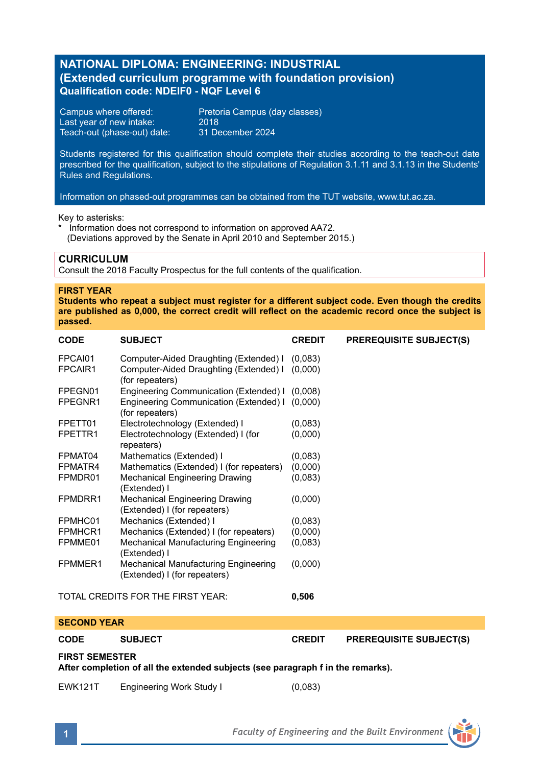# **NATIONAL DIPLOMA: ENGINEERING: INDUSTRIAL (Extended curriculum programme with foundation provision) Qualification code: NDEIF0 - NQF Level 6**

Last year of new intake: 2018<br>Teach-out (phase-out) date: 31 December 2024 Teach-out (phase-out) date:

Campus where offered: Pretoria Campus (day classes)

Students registered for this qualification should complete their studies according to the teach-out date prescribed for the qualification, subject to the stipulations of Regulation 3.1.11 and 3.1.13 in the Students' Rules and Regulations.

Information on phased-out programmes can be obtained from the TUT website, www.tut.ac.za.

Key to asterisks:

\* Information does not correspond to information on approved AA72. (Deviations approved by the Senate in April 2010 and September 2015.)

### **CURRICULUM**

Consult the 2018 Faculty Prospectus for the full contents of the qualification.

### **FIRST YEAR**

**Students who repeat a subject must register for a different subject code. Even though the credits are published as 0,000, the correct credit will reflect on the academic record once the subject is passed.** 

| <b>CODE</b>                       | <b>SUBJECT</b>                                                        | <b>CREDIT</b> | <b>PREREQUISITE SUBJECT(S)</b> |
|-----------------------------------|-----------------------------------------------------------------------|---------------|--------------------------------|
| FPCAI01                           | Computer-Aided Draughting (Extended) I                                | (0,083)       |                                |
| FPCAIR1                           | Computer-Aided Draughting (Extended) I<br>(for repeaters)             | (0,000)       |                                |
| FPEGN01                           | Engineering Communication (Extended) I (0,008)                        |               |                                |
| FPEGNR1                           | Engineering Communication (Extended) I (0,000)<br>(for repeaters)     |               |                                |
| FPETT01                           | Electrotechnology (Extended) I                                        | (0,083)       |                                |
| FPETTR1                           | Electrotechnology (Extended) I (for<br>repeaters)                     | (0,000)       |                                |
| FPMAT04                           | Mathematics (Extended) I                                              | (0,083)       |                                |
| FPMATR4                           | Mathematics (Extended) I (for repeaters)                              | (0,000)       |                                |
| FPMDR01                           | Mechanical Engineering Drawing<br>(Extended) I                        | (0,083)       |                                |
| FPMDRR1                           | <b>Mechanical Engineering Drawing</b><br>(Extended) I (for repeaters) | (0,000)       |                                |
| FPMHC01                           | Mechanics (Extended) I                                                | (0,083)       |                                |
| FPMHCR1                           | Mechanics (Extended) I (for repeaters)                                | (0,000)       |                                |
| FPMME01                           | Mechanical Manufacturing Engineering<br>(Extended) I                  | (0,083)       |                                |
| FPMMER1                           | Mechanical Manufacturing Engineering<br>(Extended) I (for repeaters)  | (0,000)       |                                |
| TOTAL CREDITS FOR THE FIRST YEAR: |                                                                       | 0,506         |                                |
| <b>APAALIB VELB</b>               |                                                                       |               |                                |

### **SECOND YEAR**

**CODE SUBJECT CREDIT PREREQUISITE SUBJECT(S)**

**FIRST SEMESTER** 

**After completion of all the extended subjects (see paragraph f in the remarks).** 

EWK121T Engineering Work Study I (0,083)

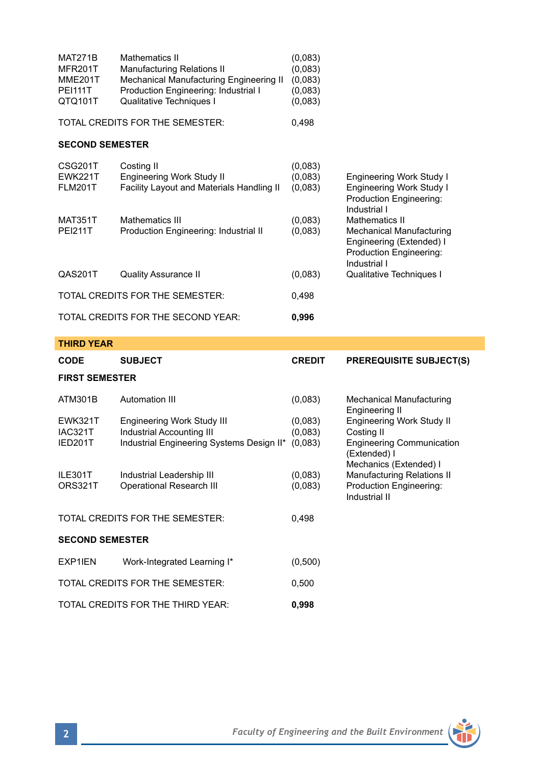| MAT271B        | Mathematics II                          | (0,083) |
|----------------|-----------------------------------------|---------|
| MFR201T        | <b>Manufacturing Relations II</b>       | (0,083) |
| <b>MME201T</b> | Mechanical Manufacturing Engineering II | (0,083) |
| <b>PEI111T</b> | Production Engineering: Industrial I    | (0,083) |
| QTQ101T        | Qualitative Techniques I                | (0,083) |
|                |                                         |         |

TOTAL CREDITS FOR THE SEMESTER: 0,498

# **SECOND SEMESTER**

| CSG201T<br><b>EWK221T</b>       | Costing II<br>Engineering Work Study II   | (0,083)<br>(0,083) | <b>Engineering Work Study I</b>                                                                 |
|---------------------------------|-------------------------------------------|--------------------|-------------------------------------------------------------------------------------------------|
| <b>FLM201T</b>                  | Facility Layout and Materials Handling II | (0,083)            | Engineering Work Study I<br>Production Engineering:<br>Industrial I                             |
| <b>MAT351T</b>                  | Mathematics III                           | (0,083)            | <b>Mathematics II</b>                                                                           |
| <b>PEI211T</b>                  | Production Engineering: Industrial II     | (0,083)            | Mechanical Manufacturing<br>Engineering (Extended) I<br>Production Engineering:<br>Industrial I |
| QAS201T                         | Quality Assurance II                      | (0,083)            | Qualitative Techniques I                                                                        |
| TOTAL CREDITS FOR THE SEMESTER: |                                           | 0.498              |                                                                                                 |
|                                 | TOTAL CREDITS FOR THE SECOND YEAR:        | 0.996              |                                                                                                 |

# **THIRD YEAR**

| <b>CODE</b>                                | <b>SUBJECT</b>                                          | <b>CREDIT</b>      | <b>PREREQUISITE SUBJECT(S)</b>                                             |  |  |
|--------------------------------------------|---------------------------------------------------------|--------------------|----------------------------------------------------------------------------|--|--|
| <b>FIRST SEMESTER</b>                      |                                                         |                    |                                                                            |  |  |
| ATM301B                                    | Automation III                                          | (0,083)            | Mechanical Manufacturing<br>Engineering II                                 |  |  |
| <b>EWK321T</b><br>IAC321T                  | Engineering Work Study III<br>Industrial Accounting III | (0.083)<br>(0,083) | <b>Engineering Work Study II</b><br>Costing II                             |  |  |
| IED201T                                    | Industrial Engineering Systems Design II*               | (0,083)            | <b>Engineering Communication</b><br>(Extended) I<br>Mechanics (Extended) I |  |  |
| ILE301T<br>ORS321T                         | Industrial Leadership III<br>Operational Research III   | (0.083)<br>(0,083) | Manufacturing Relations II<br>Production Engineering:                      |  |  |
|                                            |                                                         |                    | Industrial II                                                              |  |  |
| TOTAL CREDITS FOR THE SEMESTER:<br>0,498   |                                                         |                    |                                                                            |  |  |
| <b>SECOND SEMESTER</b>                     |                                                         |                    |                                                                            |  |  |
| EXP1IEN                                    | Work-Integrated Learning I*                             | (0,500)            |                                                                            |  |  |
| TOTAL CREDITS FOR THE SEMESTER:<br>0.500   |                                                         |                    |                                                                            |  |  |
| TOTAL CREDITS FOR THE THIRD YEAR:<br>0,998 |                                                         |                    |                                                                            |  |  |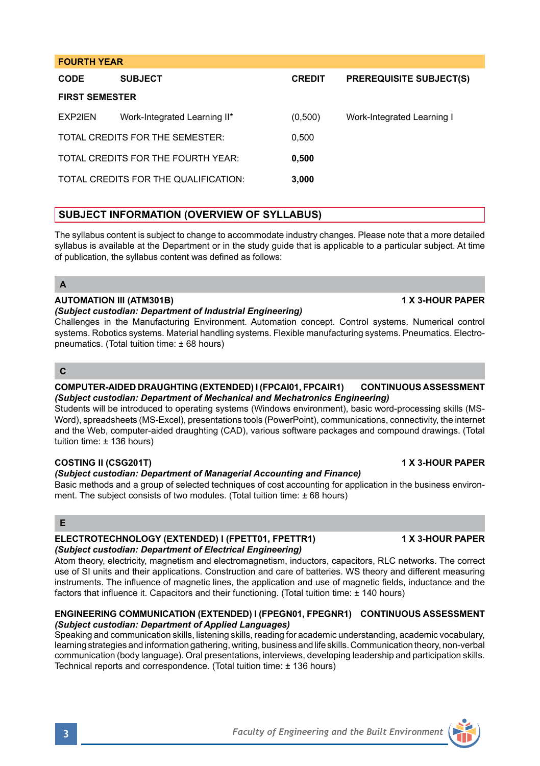## **FOURTH YEAR**

| <b>CODE</b>                        | <b>SUBJECT</b>                       | <b>CREDIT</b> | <b>PREREQUISITE SUBJECT(S)</b> |  |
|------------------------------------|--------------------------------------|---------------|--------------------------------|--|
| <b>FIRST SEMESTER</b>              |                                      |               |                                |  |
| EXP2IEN                            | Work-Integrated Learning II*         | (0,500)       | Work-Integrated Learning I     |  |
|                                    | TOTAL CREDITS FOR THE SEMESTER:      | 0.500         |                                |  |
| TOTAL CREDITS FOR THE FOURTH YEAR: |                                      | 0.500         |                                |  |
|                                    | TOTAL CREDITS FOR THE QUALIFICATION: | 3.000         |                                |  |

# **SUBJECT INFORMATION (OVERVIEW OF SYLLABUS)**

The syllabus content is subject to change to accommodate industry changes. Please note that a more detailed syllabus is available at the Department or in the study guide that is applicable to a particular subject. At time of publication, the syllabus content was defined as follows:

## **A**

## **AUTOMATION III (ATM301B) 1 X 3-HOUR PAPER**

### *(Subject custodian: Department of Industrial Engineering)*

Challenges in the Manufacturing Environment. Automation concept. Control systems. Numerical control systems. Robotics systems. Material handling systems. Flexible manufacturing systems. Pneumatics. Electropneumatics. (Total tuition time: ± 68 hours)

## **C**

### **COMPUTER-AIDED DRAUGHTING (EXTENDED) I (FPCAI01, FPCAIR1) CONTINUOUS ASSESSMENT** *(Subject custodian: Department of Mechanical and Mechatronics Engineering)*

Students will be introduced to operating systems (Windows environment), basic word-processing skills (MS-Word), spreadsheets (MS-Excel), presentations tools (PowerPoint), communications, connectivity, the internet and the Web, computer-aided draughting (CAD), various software packages and compound drawings. (Total tuition time: ± 136 hours)

### **COSTING II (CSG201T) 1 X 3-HOUR PAPER**

### *(Subject custodian: Department of Managerial Accounting and Finance)*

Basic methods and a group of selected techniques of cost accounting for application in the business environment. The subject consists of two modules. (Total tuition time: ± 68 hours)

## **E**

### **ELECTROTECHNOLOGY (EXTENDED) I (FPETT01, FPETTR1) 1 X 3-HOUR PAPER** *(Subject custodian: Department of Electrical Engineering)*

Atom theory, electricity, magnetism and electromagnetism, inductors, capacitors, RLC networks. The correct use of SI units and their applications. Construction and care of batteries. WS theory and different measuring instruments. The influence of magnetic lines, the application and use of magnetic fields, inductance and the factors that influence it. Capacitors and their functioning. (Total tuition time: ± 140 hours)

## **ENGINEERING COMMUNICATION (EXTENDED) I (FPEGN01, FPEGNR1) CONTINUOUS ASSESSMENT**  *(Subject custodian: Department of Applied Languages)*

Speaking and communication skills, listening skills, reading for academic understanding, academic vocabulary, learning strategies and information gathering, writing, business and life skills. Communication theory, non-verbal communication (body language). Oral presentations, interviews, developing leadership and participation skills. Technical reports and correspondence. (Total tuition time: ± 136 hours)



**3** *Faculty of Engineering and the Built Environment*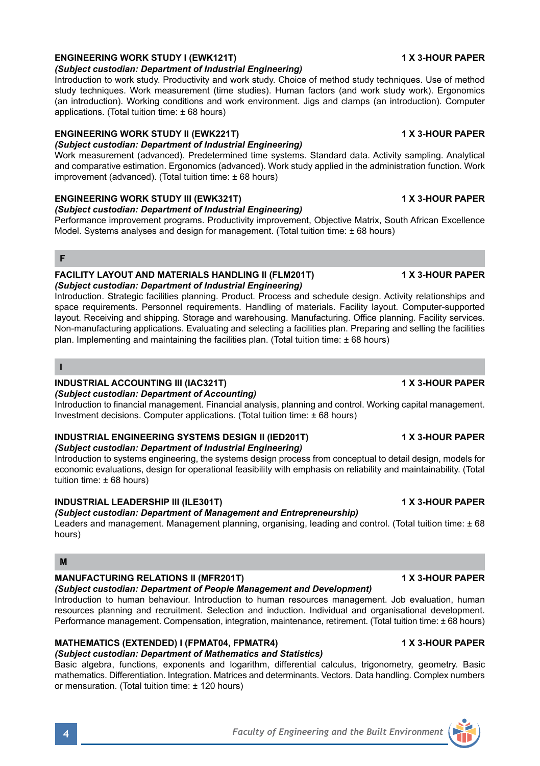# **ENGINEERING WORK STUDY I (EWK121T) 1 X 3-HOUR PAPER**

*(Subject custodian: Department of Industrial Engineering)*

Introduction to work study. Productivity and work study. Choice of method study techniques. Use of method study techniques. Work measurement (time studies). Human factors (and work study work). Ergonomics (an introduction). Working conditions and work environment. Jigs and clamps (an introduction). Computer applications. (Total tuition time: ± 68 hours)

## **ENGINEERING WORK STUDY II (EWK221T) 1 X 3-HOUR PAPER**

*(Subject custodian: Department of Industrial Engineering)*

Work measurement (advanced). Predetermined time systems. Standard data. Activity sampling. Analytical and comparative estimation. Ergonomics (advanced). Work study applied in the administration function. Work improvement (advanced). (Total tuition time: ± 68 hours)

## **ENGINEERING WORK STUDY III (EWK321T) 1 X 3-HOUR PAPER**

*(Subject custodian: Department of Industrial Engineering)*

Performance improvement programs. Productivity improvement, Objective Matrix, South African Excellence Model. Systems analyses and design for management. (Total tuition time: ± 68 hours)

### **F**

### **FACILITY LAYOUT AND MATERIALS HANDLING II (FLM201T) 1 X 3-HOUR PAPER** *(Subject custodian: Department of Industrial Engineering)*

Introduction. Strategic facilities planning. Product. Process and schedule design. Activity relationships and space requirements. Personnel requirements. Handling of materials. Facility layout. Computer-supported layout. Receiving and shipping. Storage and warehousing. Manufacturing. Office planning. Facility services. Non-manufacturing applications. Evaluating and selecting a facilities plan. Preparing and selling the facilities plan. Implementing and maintaining the facilities plan. (Total tuition time: ± 68 hours)

### **I**

## **INDUSTRIAL ACCOUNTING III (IAC321T) 1 X 3-HOUR PAPER**

### *(Subject custodian: Department of Accounting)*

Introduction to financial management. Financial analysis, planning and control. Working capital management. Investment decisions. Computer applications. (Total tuition time: ± 68 hours)

## **INDUSTRIAL ENGINEERING SYSTEMS DESIGN II (IED201T) 1 X 3-HOUR PAPER**

### *(Subject custodian: Department of Industrial Engineering)*

Introduction to systems engineering, the systems design process from conceptual to detail design, models for economic evaluations, design for operational feasibility with emphasis on reliability and maintainability. (Total tuition time: ± 68 hours)

### **INDUSTRIAL LEADERSHIP III (ILE301T) 1 X 3-HOUR PAPER**

### *(Subject custodian: Department of Management and Entrepreneurship)*

Leaders and management. Management planning, organising, leading and control. (Total tuition time: ± 68 hours)

## **M**

## **MANUFACTURING RELATIONS II (MFR201T) 1 X 3-HOUR PAPER**

### *(Subject custodian: Department of People Management and Development)*

Introduction to human behaviour. Introduction to human resources management. Job evaluation, human resources planning and recruitment. Selection and induction. Individual and organisational development. Performance management. Compensation, integration, maintenance, retirement. (Total tuition time: ± 68 hours)

# **MATHEMATICS (EXTENDED) I (FPMAT04, FPMATR4) 1 X 3-HOUR PAPER**

# *(Subject custodian: Department of Mathematics and Statistics)*

Basic algebra, functions, exponents and logarithm, differential calculus, trigonometry, geometry. Basic mathematics. Differentiation. Integration. Matrices and determinants. Vectors. Data handling. Complex numbers or mensuration. (Total tuition time: ± 120 hours)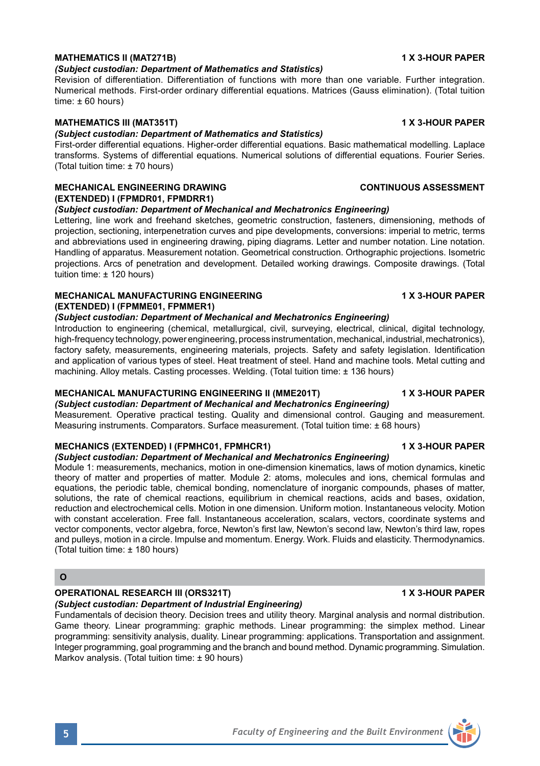## *(Subject custodian: Department of Mathematics and Statistics)*

Revision of differentiation. Differentiation of functions with more than one variable. Further integration. Numerical methods. First-order ordinary differential equations. Matrices (Gauss elimination). (Total tuition time: ± 60 hours)

## **MATHEMATICS III (MAT351T) 1 X 3-HOUR PAPER**

### *(Subject custodian: Department of Mathematics and Statistics)*

First-order differential equations. Higher-order differential equations. Basic mathematical modelling. Laplace transforms. Systems of differential equations. Numerical solutions of differential equations. Fourier Series. (Total tuition time: ± 70 hours)

## **MECHANICAL ENGINEERING DRAWING CONTINUOUS ASSESSMENT (EXTENDED) I (FPMDR01, FPMDRR1)**

### *(Subject custodian: Department of Mechanical and Mechatronics Engineering)*

Lettering, line work and freehand sketches, geometric construction, fasteners, dimensioning, methods of projection, sectioning, interpenetration curves and pipe developments, conversions: imperial to metric, terms and abbreviations used in engineering drawing, piping diagrams. Letter and number notation. Line notation. Handling of apparatus. Measurement notation. Geometrical construction. Orthographic projections. Isometric projections. Arcs of penetration and development. Detailed working drawings. Composite drawings. (Total tuition time: ± 120 hours)

## **MECHANICAL MANUFACTURING ENGINEERING 1 X 3-HOUR PAPER (EXTENDED) I (FPMME01, FPMMER1)**

## *(Subject custodian: Department of Mechanical and Mechatronics Engineering)*

Introduction to engineering (chemical, metallurgical, civil, surveying, electrical, clinical, digital technology, high-frequency technology, power engineering, process instrumentation, mechanical, industrial, mechatronics), factory safety, measurements, engineering materials, projects. Safety and safety legislation. Identification and application of various types of steel. Heat treatment of steel. Hand and machine tools. Metal cutting and machining. Alloy metals. Casting processes. Welding. (Total tuition time: ± 136 hours)

### **MECHANICAL MANUFACTURING ENGINEERING II (MME201T) 1 X 3-HOUR PAPER**

*(Subject custodian: Department of Mechanical and Mechatronics Engineering)*

Measurement. Operative practical testing. Quality and dimensional control. Gauging and measurement. Measuring instruments. Comparators. Surface measurement. (Total tuition time: ± 68 hours)

## **MECHANICS (EXTENDED) I (FPMHC01, FPMHCR1) 1 X 3-HOUR PAPER**

## *(Subject custodian: Department of Mechanical and Mechatronics Engineering)*

Module 1: measurements, mechanics, motion in one-dimension kinematics, laws of motion dynamics, kinetic theory of matter and properties of matter. Module 2: atoms, molecules and ions, chemical formulas and equations, the periodic table, chemical bonding, nomenclature of inorganic compounds, phases of matter, solutions, the rate of chemical reactions, equilibrium in chemical reactions, acids and bases, oxidation, reduction and electrochemical cells. Motion in one dimension. Uniform motion. Instantaneous velocity. Motion with constant acceleration. Free fall. Instantaneous acceleration, scalars, vectors, coordinate systems and vector components, vector algebra, force, Newton's first law, Newton's second law, Newton's third law, ropes and pulleys, motion in a circle. Impulse and momentum. Energy. Work. Fluids and elasticity. Thermodynamics. (Total tuition time: ± 180 hours)

## **O**

## **OPERATIONAL RESEARCH III (ORS321T) 1 X 3-HOUR PAPER**

# *(Subject custodian: Department of Industrial Engineering)*

Fundamentals of decision theory. Decision trees and utility theory. Marginal analysis and normal distribution. Game theory. Linear programming: graphic methods. Linear programming: the simplex method. Linear programming: sensitivity analysis, duality. Linear programming: applications. Transportation and assignment. Integer programming, goal programming and the branch and bound method. Dynamic programming. Simulation. Markov analysis. (Total tuition time: ± 90 hours)





# **MATHEMATICS II (MAT271B) 1 X 3-HOUR PAPER**